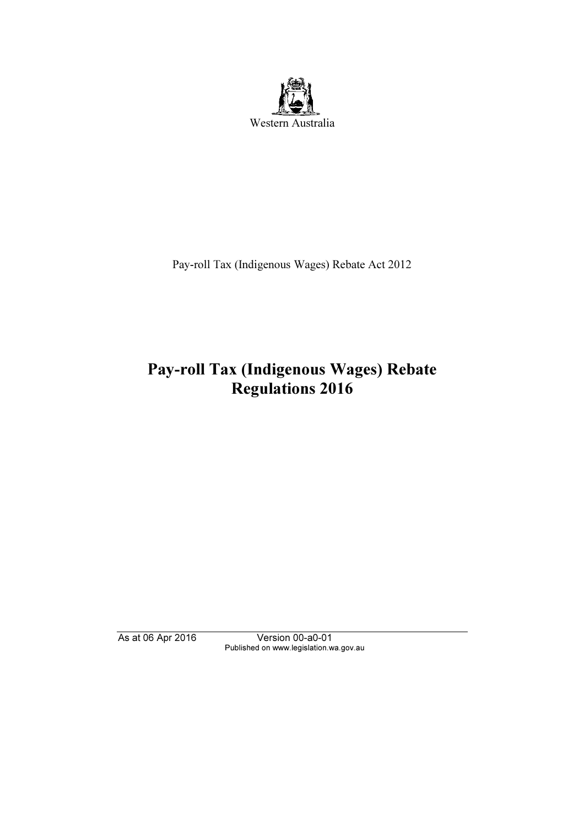

Pay-roll Tax (Indigenous Wages) Rebate Act 2012

# Pay-roll Tax (Indigenous Wages) Rebate Regulations 2016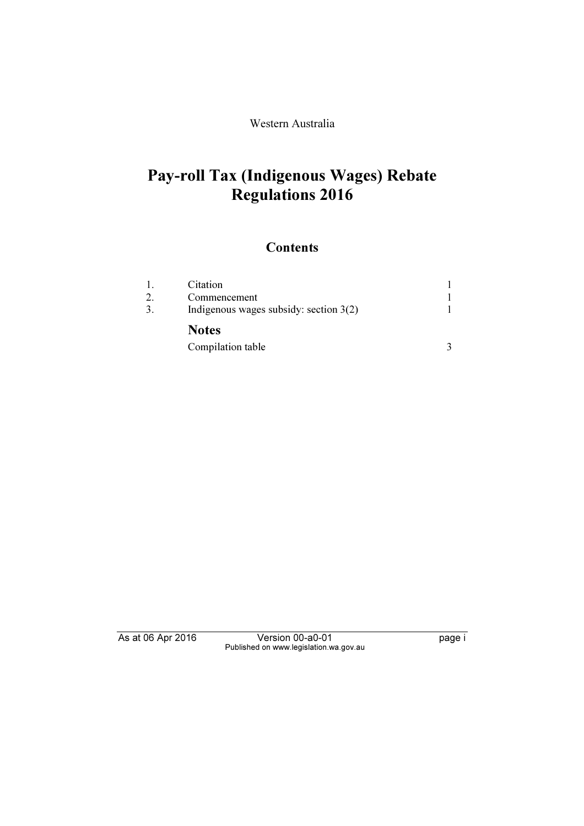Western Australia

# Pay-roll Tax (Indigenous Wages) Rebate Regulations 2016

### **Contents**

| 1. | Citation                                 |  |
|----|------------------------------------------|--|
|    | Commencement                             |  |
| 3. | Indigenous wages subsidy: section $3(2)$ |  |
|    | <b>Notes</b>                             |  |
|    | Compilation table                        |  |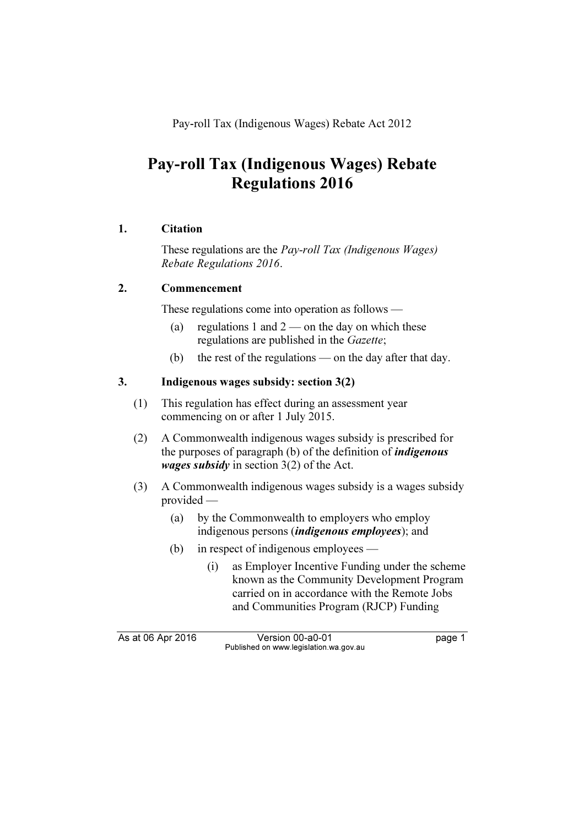Pay-roll Tax (Indigenous Wages) Rebate Act 2012

## Pay-roll Tax (Indigenous Wages) Rebate Regulations 2016

#### 1. Citation

 These regulations are the Pay-roll Tax (Indigenous Wages) Rebate Regulations 2016.

#### 2. Commencement

These regulations come into operation as follows —

- (a) regulations 1 and  $2$  on the day on which these regulations are published in the Gazette;
- (b) the rest of the regulations on the day after that day.

#### 3. Indigenous wages subsidy: section 3(2)

- (1) This regulation has effect during an assessment year commencing on or after 1 July 2015.
- (2) A Commonwealth indigenous wages subsidy is prescribed for the purposes of paragraph (b) of the definition of *indigenous wages subsidy* in section  $3(2)$  of the Act.
- (3) A Commonwealth indigenous wages subsidy is a wages subsidy provided —
	- (a) by the Commonwealth to employers who employ indigenous persons (indigenous employees); and
	- (b) in respect of indigenous employees
		- (i) as Employer Incentive Funding under the scheme known as the Community Development Program carried on in accordance with the Remote Jobs and Communities Program (RJCP) Funding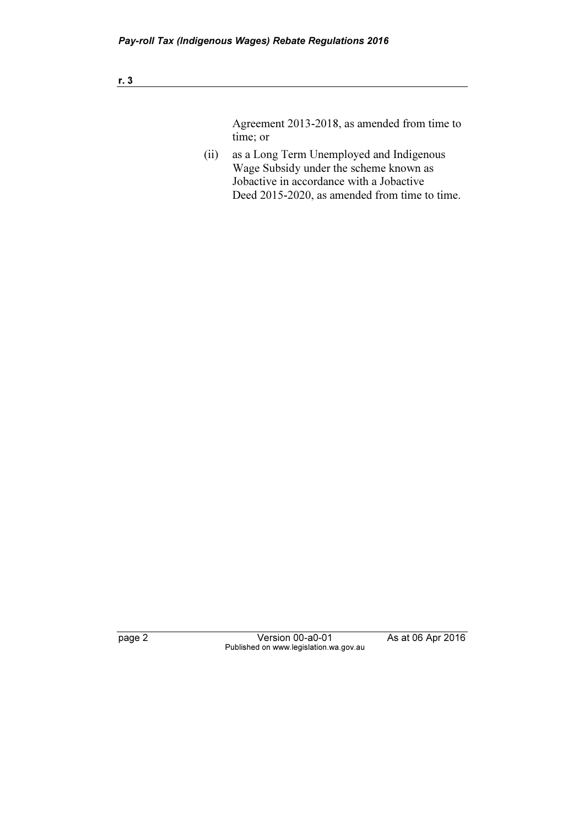## r. 3

Agreement 2013-2018, as amended from time to time; or

 (ii) as a Long Term Unemployed and Indigenous Wage Subsidy under the scheme known as Jobactive in accordance with a Jobactive Deed 2015-2020, as amended from time to time.